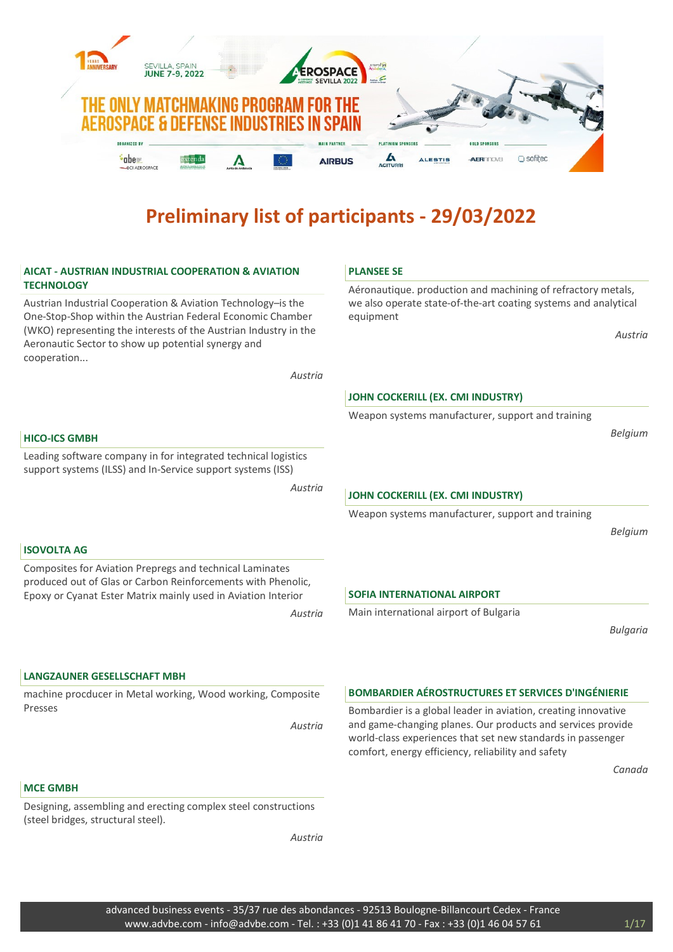

# AICAT - AUSTRIAN INDUSTRIAL COOPERATION & AVIATION **TECHNOLOGY**

Austrian Industrial Cooperation & Aviation Technology–is the One-Stop-Shop within the Austrian Federal Economic Chamber (WKO) representing the interests of the Austrian Industry in the Aeronautic Sector to show up potential synergy and cooperation...

Austria

#### PLANSEE SE

Aéronautique. production and machining of refractory metals, we also operate state-of-the-art coating systems and analytical equipment

Austria

# JOHN COCKERILL (EX. CMI INDUSTRY)

Weapon systems manufacturer, support and training

Belgium

#### HICO-ICS GMBH

ISOVOLTA AG

Leading software company in for integrated technical logistics support systems (ILSS) and In-Service support systems (ISS)

Composites for Aviation Prepregs and technical Laminates produced out of Glas or Carbon Reinforcements with Phenolic, Epoxy or Cyanat Ester Matrix mainly used in Aviation Interior

Austria

# JOHN COCKERILL (EX. CMI INDUSTRY)

Weapon systems manufacturer, support and training

Belgium

# SOFIA INTERNATIONAL AIRPORT

Main international airport of Bulgaria

Bulgaria

LANGZAUNER GESELLSCHAFT MBH

machine procducer in Metal working, Wood working, Composite Presses

Austria

Austria

#### BOMBARDIER AÉROSTRUCTURES ET SERVICES D'INGÉNIERIE

Bombardier is a global leader in aviation, creating innovative and game-changing planes. Our products and services provide world-class experiences that set new standards in passenger comfort, energy efficiency, reliability and safety

Canada

### MCE GMBH

Designing, assembling and erecting complex steel constructions (steel bridges, structural steel).

Austria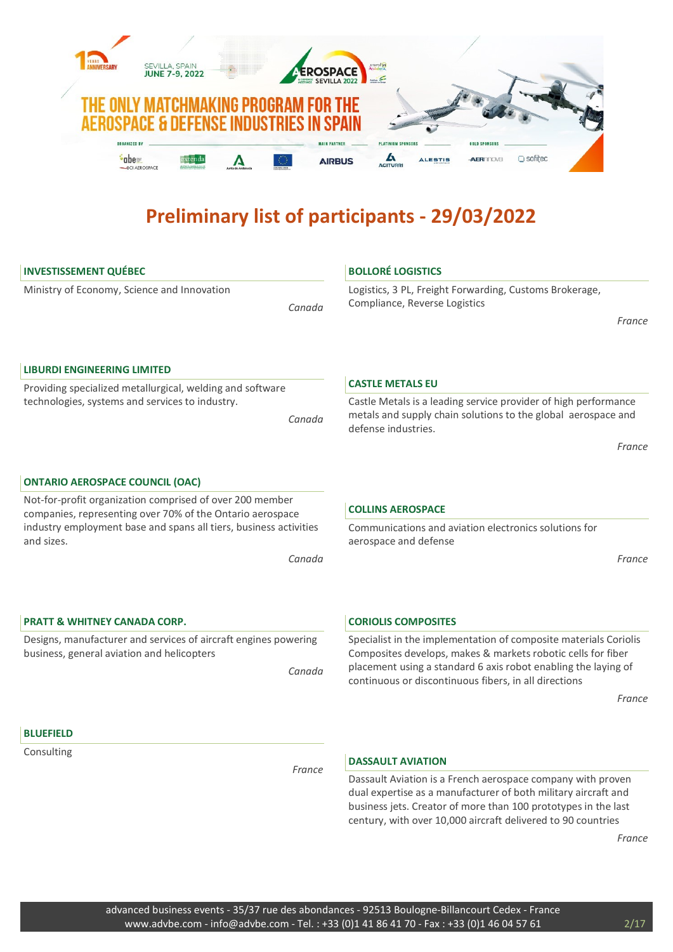

# INVESTISSEMENT QUÉBEC

Ministry of Economy, Science and Innovation

Canada

# BOLLORÉ LOGISTICS

Logistics, 3 PL, Freight Forwarding, Customs Brokerage, Compliance, Reverse Logistics

France

#### LIBURDI ENGINEERING LIMITED

Providing specialized metallurgical, welding and software technologies, systems and services to industry.

Canada

#### CASTLE METALS EU

Castle Metals is a leading service provider of high performance metals and supply chain solutions to the global aerospace and defense industries.

France

Not-for-profit organization comprised of over 200 member companies, representing over 70% of the Ontario aerospace industry employment base and spans all tiers, business activities and sizes.

Canada

# PRATT & WHITNEY CANADA CORP.

ONTARIO AEROSPACE COUNCIL (OAC)

Designs, manufacturer and services of aircraft engines powering business, general aviation and helicopters

Canada

# COLLINS AEROSPACE

Communications and aviation electronics solutions for aerospace and defense

France

#### CORIOLIS COMPOSITES

Specialist in the implementation of composite materials Coriolis Composites develops, makes & markets robotic cells for fiber placement using a standard 6 axis robot enabling the laying of continuous or discontinuous fibers, in all directions

France

### BLUEFIELD

Consulting

France

#### DASSAULT AVIATION

Dassault Aviation is a French aerospace company with proven dual expertise as a manufacturer of both military aircraft and business jets. Creator of more than 100 prototypes in the last century, with over 10,000 aircraft delivered to 90 countries

France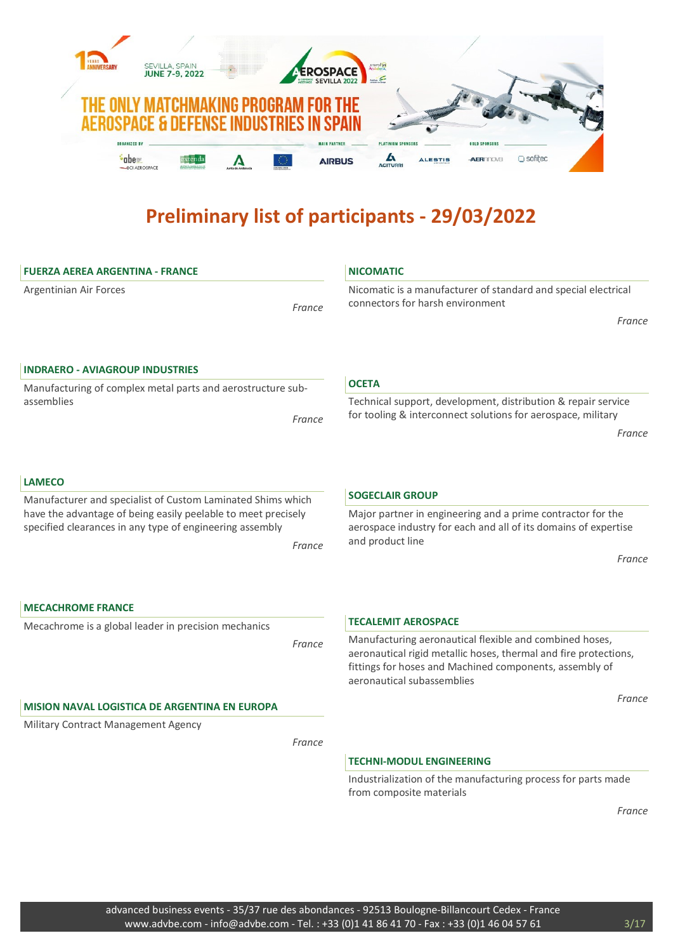

| <b>FUERZA AEREA ARGENTINA - FRANCE</b>                                                                                              |        | <b>NICOMATIC</b>                                                                                                                                                                                                     |
|-------------------------------------------------------------------------------------------------------------------------------------|--------|----------------------------------------------------------------------------------------------------------------------------------------------------------------------------------------------------------------------|
| Argentinian Air Forces                                                                                                              | France | Nicomatic is a manufacturer of standard and special electrical<br>connectors for harsh environment                                                                                                                   |
|                                                                                                                                     |        | France                                                                                                                                                                                                               |
| <b>INDRAERO - AVIAGROUP INDUSTRIES</b>                                                                                              |        |                                                                                                                                                                                                                      |
| Manufacturing of complex metal parts and aerostructure sub-                                                                         |        | <b>OCETA</b>                                                                                                                                                                                                         |
| assemblies                                                                                                                          | France | Technical support, development, distribution & repair service<br>for tooling & interconnect solutions for aerospace, military                                                                                        |
|                                                                                                                                     |        | France                                                                                                                                                                                                               |
| <b>LAMECO</b>                                                                                                                       |        |                                                                                                                                                                                                                      |
| Manufacturer and specialist of Custom Laminated Shims which                                                                         |        | <b>SOGECLAIR GROUP</b>                                                                                                                                                                                               |
| have the advantage of being easily peelable to meet precisely<br>specified clearances in any type of engineering assembly<br>France |        | Major partner in engineering and a prime contractor for the<br>aerospace industry for each and all of its domains of expertise<br>and product line                                                                   |
|                                                                                                                                     |        | France                                                                                                                                                                                                               |
|                                                                                                                                     |        |                                                                                                                                                                                                                      |
| <b>MECACHROME FRANCE</b>                                                                                                            |        |                                                                                                                                                                                                                      |
| Mecachrome is a global leader in precision mechanics                                                                                |        | <b>TECALEMIT AEROSPACE</b>                                                                                                                                                                                           |
|                                                                                                                                     | France | Manufacturing aeronautical flexible and combined hoses,<br>aeronautical rigid metallic hoses, thermal and fire protections,<br>fittings for hoses and Machined components, assembly of<br>aeronautical subassemblies |
| <b>MISION NAVAL LOGISTICA DE ARGENTINA EN EUROPA</b>                                                                                |        | France                                                                                                                                                                                                               |
| Military Contract Management Agency                                                                                                 |        |                                                                                                                                                                                                                      |
|                                                                                                                                     | France |                                                                                                                                                                                                                      |
|                                                                                                                                     |        | <b>TECHNI-MODUL ENGINEERING</b>                                                                                                                                                                                      |
|                                                                                                                                     |        | Industrialization of the manufacturing process for parts made<br>from composite materials                                                                                                                            |
|                                                                                                                                     |        | France                                                                                                                                                                                                               |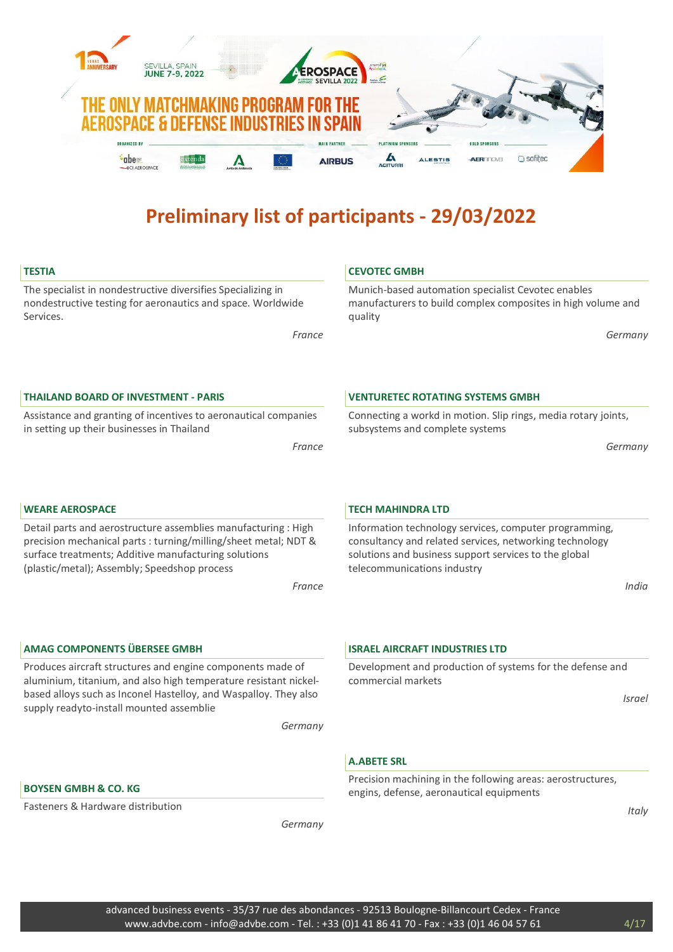

CEVOTEC GMBH

# **TESTIA**

The specialist in nondestructive diversifies Specializing in nondestructive testing for aeronautics and space. Worldwide Services.

France

Munich-based automation specialist Cevotec enables manufacturers to build complex composites in high volume and quality

Germany

# THAILAND BOARD OF INVESTMENT - PARIS

Assistance and granting of incentives to aeronautical companies in setting up their businesses in Thailand

France

# VENTURETEC ROTATING SYSTEMS GMBH

Connecting a workd in motion. Slip rings, media rotary joints, subsystems and complete systems

Information technology services, computer programming, consultancy and related services, networking technology solutions and business support services to the global

Germany

# WEARE AEROSPACE

Detail parts and aerostructure assemblies manufacturing : High precision mechanical parts : turning/milling/sheet metal; NDT & surface treatments; Additive manufacturing solutions (plastic/metal); Assembly; Speedshop process

France

# AMAG COMPONENTS ÜBERSEE GMBH

Produces aircraft structures and engine components made of aluminium, titanium, and also high temperature resistant nickelbased alloys such as Inconel Hastelloy, and Waspalloy. They also supply readyto-install mounted assemblie

Germany

#### ISRAEL AIRCRAFT INDUSTRIES LTD

telecommunications industry

TECH MAHINDRA LTD

Development and production of systems for the defense and commercial markets

Israel

India

# A.ABETE SRL

Precision machining in the following areas: aerostructures, engins, defense, aeronautical equipments

**Italy** 

# BOYSEN GMBH & CO. KG

Fasteners & Hardware distribution

Germany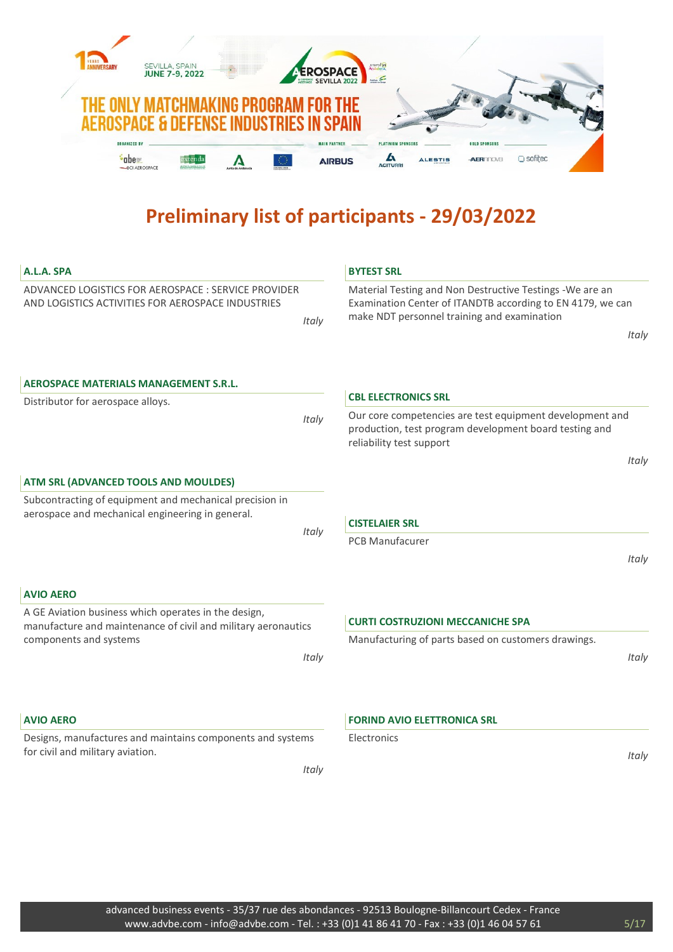

| A.L.A. SPA                                                                                                            | <b>BYTEST SRL</b>                                                                                                                                                      |
|-----------------------------------------------------------------------------------------------------------------------|------------------------------------------------------------------------------------------------------------------------------------------------------------------------|
| ADVANCED LOGISTICS FOR AEROSPACE : SERVICE PROVIDER<br>AND LOGISTICS ACTIVITIES FOR AEROSPACE INDUSTRIES<br>Italy     | Material Testing and Non Destructive Testings - We are an<br>Examination Center of ITANDTB according to EN 4179, we can<br>make NDT personnel training and examination |
|                                                                                                                       | Italy                                                                                                                                                                  |
| <b>AEROSPACE MATERIALS MANAGEMENT S.R.L.</b>                                                                          |                                                                                                                                                                        |
| Distributor for aerospace alloys.                                                                                     | <b>CBL ELECTRONICS SRL</b>                                                                                                                                             |
| Italy                                                                                                                 | Our core competencies are test equipment development and<br>production, test program development board testing and<br>reliability test support                         |
|                                                                                                                       | Italy                                                                                                                                                                  |
| ATM SRL (ADVANCED TOOLS AND MOULDES)                                                                                  |                                                                                                                                                                        |
| Subcontracting of equipment and mechanical precision in<br>aerospace and mechanical engineering in general.           | <b>CISTELAIER SRL</b>                                                                                                                                                  |
| Italy                                                                                                                 | <b>PCB Manufacurer</b>                                                                                                                                                 |
|                                                                                                                       | Italy                                                                                                                                                                  |
|                                                                                                                       |                                                                                                                                                                        |
| <b>AVIO AERO</b>                                                                                                      |                                                                                                                                                                        |
| A GE Aviation business which operates in the design,<br>manufacture and maintenance of civil and military aeronautics | <b>CURTI COSTRUZIONI MECCANICHE SPA</b>                                                                                                                                |
| components and systems                                                                                                | Manufacturing of parts based on customers drawings.                                                                                                                    |
| Italy                                                                                                                 | Italy                                                                                                                                                                  |
| <b>AVIO AERO</b>                                                                                                      | <b>FORIND AVIO ELETTRONICA SRL</b>                                                                                                                                     |
| Designs, manufactures and maintains components and systems                                                            | Electronics                                                                                                                                                            |
| for civil and military aviation.                                                                                      | Italy                                                                                                                                                                  |
| Italy                                                                                                                 |                                                                                                                                                                        |
|                                                                                                                       |                                                                                                                                                                        |
|                                                                                                                       |                                                                                                                                                                        |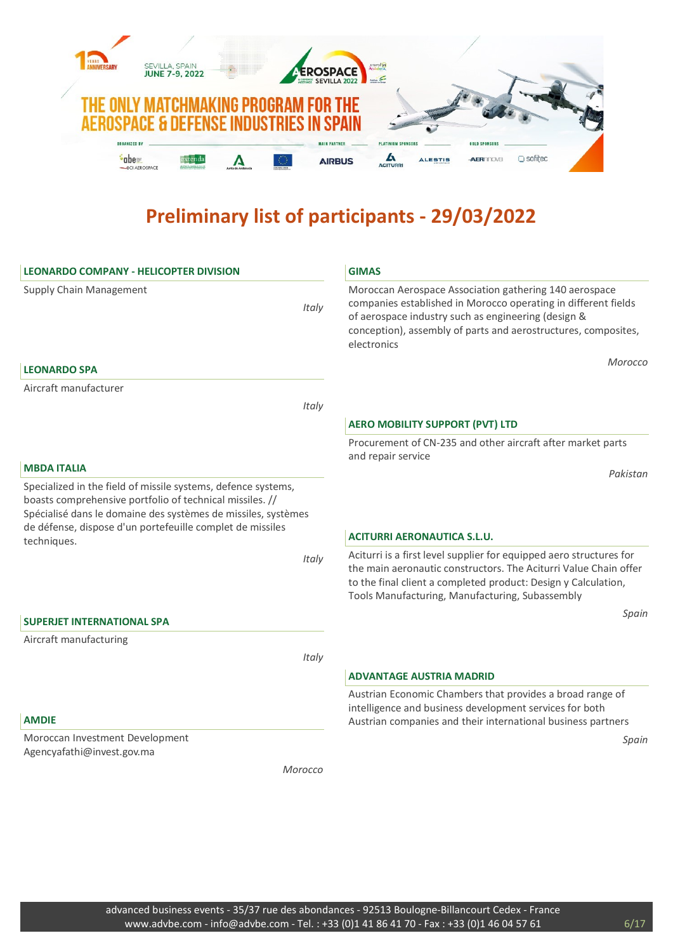

| <b>LEONARDO COMPANY - HELICOPTER DIVISION</b>                                                                                                                                                                                                                          |         | <b>GIMAS</b>                                                                                                                                                                                                                                                     |
|------------------------------------------------------------------------------------------------------------------------------------------------------------------------------------------------------------------------------------------------------------------------|---------|------------------------------------------------------------------------------------------------------------------------------------------------------------------------------------------------------------------------------------------------------------------|
| Supply Chain Management                                                                                                                                                                                                                                                | Italy   | Moroccan Aerospace Association gathering 140 aerospace<br>companies established in Morocco operating in different fields<br>of aerospace industry such as engineering (design &<br>conception), assembly of parts and aerostructures, composites,<br>electronics |
| <b>LEONARDO SPA</b>                                                                                                                                                                                                                                                    |         | Morocco                                                                                                                                                                                                                                                          |
| Aircraft manufacturer                                                                                                                                                                                                                                                  |         |                                                                                                                                                                                                                                                                  |
|                                                                                                                                                                                                                                                                        | Italy   |                                                                                                                                                                                                                                                                  |
|                                                                                                                                                                                                                                                                        |         | <b>AERO MOBILITY SUPPORT (PVT) LTD</b>                                                                                                                                                                                                                           |
|                                                                                                                                                                                                                                                                        |         | Procurement of CN-235 and other aircraft after market parts<br>and repair service                                                                                                                                                                                |
| <b>MBDA ITALIA</b>                                                                                                                                                                                                                                                     |         | Pakistan                                                                                                                                                                                                                                                         |
| Specialized in the field of missile systems, defence systems,<br>boasts comprehensive portfolio of technical missiles. //<br>Spécialisé dans le domaine des systèmes de missiles, systèmes<br>de défense, dispose d'un portefeuille complet de missiles<br>techniques. |         | <b>ACITURRI AERONAUTICA S.L.U.</b>                                                                                                                                                                                                                               |
|                                                                                                                                                                                                                                                                        | Italy   | Aciturri is a first level supplier for equipped aero structures for<br>the main aeronautic constructors. The Aciturri Value Chain offer<br>to the final client a completed product: Design y Calculation,<br>Tools Manufacturing, Manufacturing, Subassembly     |
| <b>SUPERJET INTERNATIONAL SPA</b>                                                                                                                                                                                                                                      |         | Spain                                                                                                                                                                                                                                                            |
| Aircraft manufacturing                                                                                                                                                                                                                                                 |         |                                                                                                                                                                                                                                                                  |
|                                                                                                                                                                                                                                                                        | Italy   |                                                                                                                                                                                                                                                                  |
|                                                                                                                                                                                                                                                                        |         | <b>ADVANTAGE AUSTRIA MADRID</b>                                                                                                                                                                                                                                  |
| <b>AMDIE</b>                                                                                                                                                                                                                                                           |         | Austrian Economic Chambers that provides a broad range of<br>intelligence and business development services for both<br>Austrian companies and their international business partners                                                                             |
| Moroccan Investment Development                                                                                                                                                                                                                                        |         | Spain                                                                                                                                                                                                                                                            |
| Agencyafathi@invest.gov.ma                                                                                                                                                                                                                                             |         |                                                                                                                                                                                                                                                                  |
|                                                                                                                                                                                                                                                                        | Morocco |                                                                                                                                                                                                                                                                  |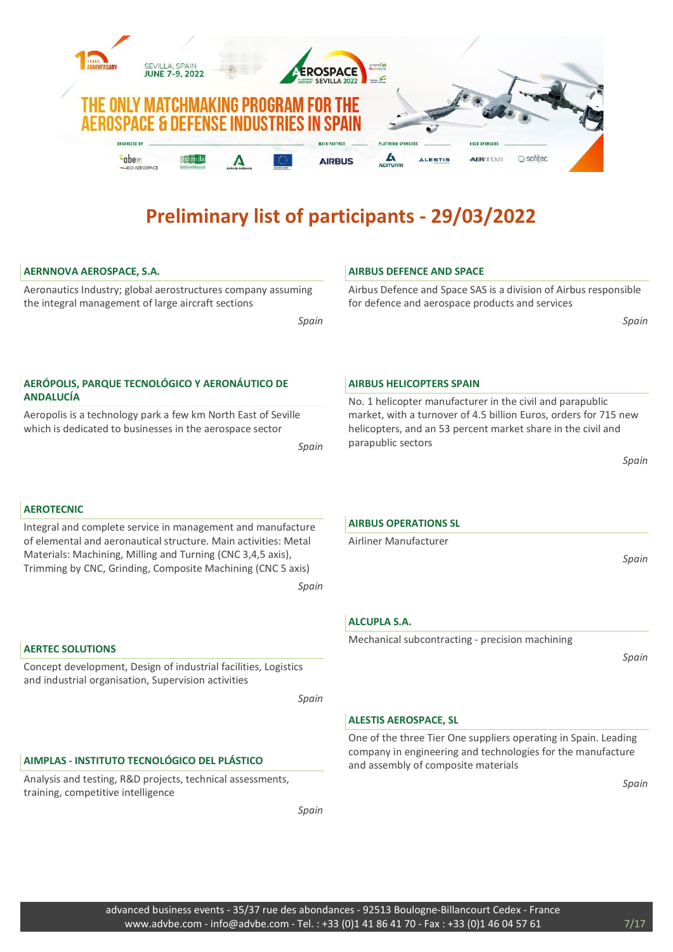

# AERNNOVA AEROSPACE, S.A.

Aeronautics Industry; global aerostructures company assuming the integral management of large aircraft sections

Spain

# AERÓPOLIS, PARQUE TECNOLÓGICO Y AERONÁUTICO DE ANDALUCÍA

Aeropolis is a technology park a few km North East of Seville which is dedicated to businesses in the aerospace sector

Spain

# AEROTECNIC

Integral and complete service in management and manufacture of elemental and aeronautical structure. Main activities: Metal Materials: Machining, Milling and Turning (CNC 3,4,5 axis), Trimming by CNC, Grinding, Composite Machining (CNC 5 axis)

Spain

# AERTEC SOLUTIONS

Concept development, Design of industrial facilities, Logistics and industrial organisation, Supervision activities

Spain

# AIMPLAS - INSTITUTO TECNOLÓGICO DEL PLÁSTICO

Analysis and testing, R&D projects, technical assessments, training, competitive intelligence

Spain

# AIRBUS DEFENCE AND SPACE

Airbus Defence and Space SAS is a division of Airbus responsible for defence and aerospace products and services

Spain

#### AIRBUS HELICOPTERS SPAIN

No. 1 helicopter manufacturer in the civil and parapublic market, with a turnover of 4.5 billion Euros, orders for 715 new helicopters, and an 53 percent market share in the civil and parapublic sectors

Spain

#### AIRBUS OPERATIONS SL

Airliner Manufacturer

Spain

# ALCUPLA S.A.

Mechanical subcontracting - precision machining

Spain

# ALESTIS AEROSPACE, SL

One of the three Tier One suppliers operating in Spain. Leading company in engineering and technologies for the manufacture and assembly of composite materials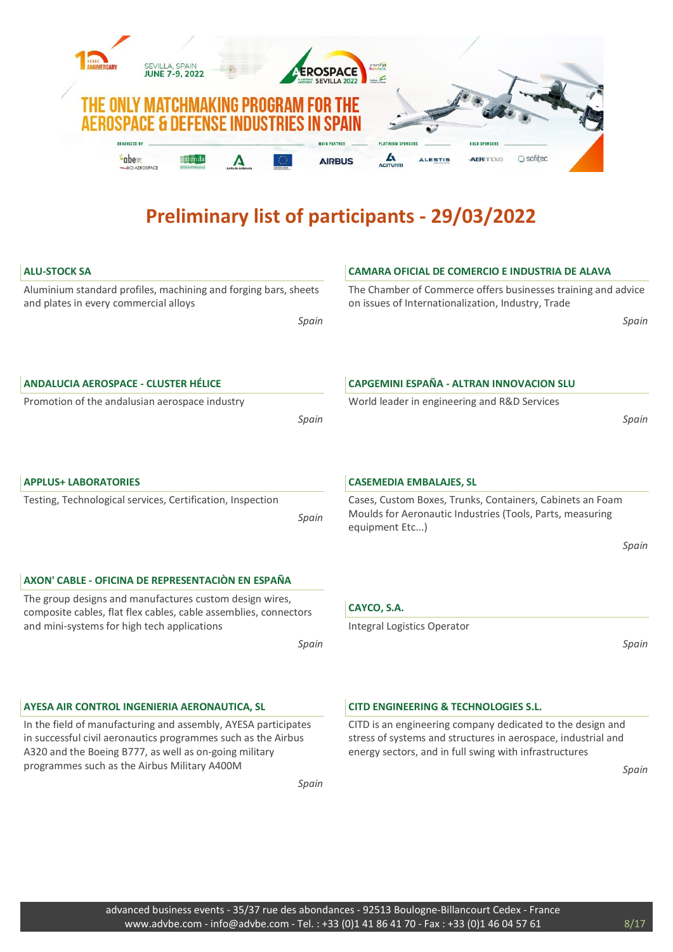

| <b>ALU-STOCK SA</b>                                                                                                                                                                       | <b>CAMARA OFICIAL DE COMERCIO E INDUSTRIA DE ALAVA</b>                                                                                                                                |
|-------------------------------------------------------------------------------------------------------------------------------------------------------------------------------------------|---------------------------------------------------------------------------------------------------------------------------------------------------------------------------------------|
| Aluminium standard profiles, machining and forging bars, sheets<br>and plates in every commercial alloys                                                                                  | The Chamber of Commerce offers businesses training and advice<br>on issues of Internationalization, Industry, Trade                                                                   |
| Spain                                                                                                                                                                                     | Spain                                                                                                                                                                                 |
| <b>ANDALUCIA AEROSPACE - CLUSTER HÉLICE</b>                                                                                                                                               | <b>CAPGEMINI ESPAÑA - ALTRAN INNOVACION SLU</b>                                                                                                                                       |
| Promotion of the andalusian aerospace industry                                                                                                                                            | World leader in engineering and R&D Services                                                                                                                                          |
| Spain                                                                                                                                                                                     | Spain                                                                                                                                                                                 |
| <b>APPLUS+ LABORATORIES</b>                                                                                                                                                               | <b>CASEMEDIA EMBALAJES, SL</b>                                                                                                                                                        |
| Testing, Technological services, Certification, Inspection<br>Spain                                                                                                                       | Cases, Custom Boxes, Trunks, Containers, Cabinets an Foam<br>Moulds for Aeronautic Industries (Tools, Parts, measuring<br>equipment Etc)                                              |
|                                                                                                                                                                                           | Spain                                                                                                                                                                                 |
|                                                                                                                                                                                           |                                                                                                                                                                                       |
| AXON' CABLE - OFICINA DE REPRESENTACIÓN EN ESPAÑA                                                                                                                                         |                                                                                                                                                                                       |
| The group designs and manufactures custom design wires,<br>composite cables, flat flex cables, cable assemblies, connectors                                                               | CAYCO, S.A.                                                                                                                                                                           |
| and mini-systems for high tech applications                                                                                                                                               | Integral Logistics Operator                                                                                                                                                           |
| Spain                                                                                                                                                                                     | Spain                                                                                                                                                                                 |
| AYESA AIR CONTROL INGENIERIA AERONAUTICA, SL                                                                                                                                              | <b>CITD ENGINEERING &amp; TECHNOLOGIES S.L.</b>                                                                                                                                       |
| In the field of manufacturing and assembly, AYESA participates<br>in successful civil aeronautics programmes such as the Airbus<br>A320 and the Boeing B777, as well as on-going military | CITD is an engineering company dedicated to the design and<br>stress of systems and structures in aerospace, industrial and<br>energy sectors, and in full swing with infrastructures |
| programmes such as the Airbus Military A400M                                                                                                                                              | Spain                                                                                                                                                                                 |
| Spain                                                                                                                                                                                     |                                                                                                                                                                                       |

advanced business events - 35/37 rue des abondances - 92513 Boulogne-Billancourt Cedex - France www.advbe.com - info@advbe.com - Tel. : +33 (0)1 41 86 41 70 - Fax : +33 (0)1 46 04 57 61 8/17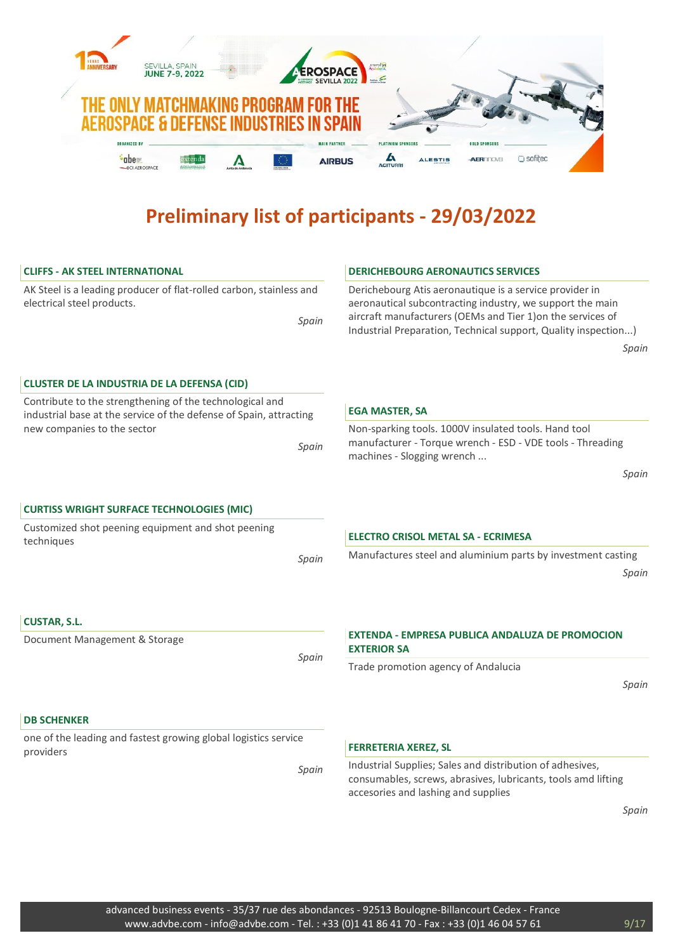

| <b>CLIFFS - AK STEEL INTERNATIONAL</b>                                                                                         |       | <b>DERICHEBOURG AERONAUTICS SERVICES</b>                                                                                                                                                                                                                       |
|--------------------------------------------------------------------------------------------------------------------------------|-------|----------------------------------------------------------------------------------------------------------------------------------------------------------------------------------------------------------------------------------------------------------------|
| AK Steel is a leading producer of flat-rolled carbon, stainless and<br>electrical steel products.                              | Spain | Derichebourg Atis aeronautique is a service provider in<br>aeronautical subcontracting industry, we support the main<br>aircraft manufacturers (OEMs and Tier 1) on the services of<br>Industrial Preparation, Technical support, Quality inspection)<br>Spain |
|                                                                                                                                |       |                                                                                                                                                                                                                                                                |
| <b>CLUSTER DE LA INDUSTRIA DE LA DEFENSA (CID)</b>                                                                             |       |                                                                                                                                                                                                                                                                |
| Contribute to the strengthening of the technological and<br>industrial base at the service of the defense of Spain, attracting |       | <b>EGA MASTER, SA</b>                                                                                                                                                                                                                                          |
| new companies to the sector                                                                                                    | Spain | Non-sparking tools. 1000V insulated tools. Hand tool<br>manufacturer - Torque wrench - ESD - VDE tools - Threading<br>machines - Slogging wrench                                                                                                               |
|                                                                                                                                |       | Spain                                                                                                                                                                                                                                                          |
| <b>CURTISS WRIGHT SURFACE TECHNOLOGIES (MIC)</b>                                                                               |       |                                                                                                                                                                                                                                                                |
| Customized shot peening equipment and shot peening                                                                             |       |                                                                                                                                                                                                                                                                |
| techniques                                                                                                                     |       | <b>ELECTRO CRISOL METAL SA - ECRIMESA</b>                                                                                                                                                                                                                      |
|                                                                                                                                | Spain | Manufactures steel and aluminium parts by investment casting<br>Spain                                                                                                                                                                                          |
| <b>CUSTAR, S.L.</b>                                                                                                            |       |                                                                                                                                                                                                                                                                |
| Document Management & Storage                                                                                                  | Spain | EXTENDA - EMPRESA PUBLICA ANDALUZA DE PROMOCION<br><b>EXTERIOR SA</b>                                                                                                                                                                                          |
|                                                                                                                                |       | Trade promotion agency of Andalucia                                                                                                                                                                                                                            |
|                                                                                                                                |       | Spain                                                                                                                                                                                                                                                          |
| <b>DB SCHENKER</b>                                                                                                             |       |                                                                                                                                                                                                                                                                |
| one of the leading and fastest growing global logistics service<br>providers                                                   |       | <b>FERRETERIA XEREZ, SL</b>                                                                                                                                                                                                                                    |
|                                                                                                                                | Spain | Industrial Supplies; Sales and distribution of adhesives,<br>consumables, screws, abrasives, lubricants, tools amd lifting<br>accesories and lashing and supplies                                                                                              |
|                                                                                                                                |       | Spain                                                                                                                                                                                                                                                          |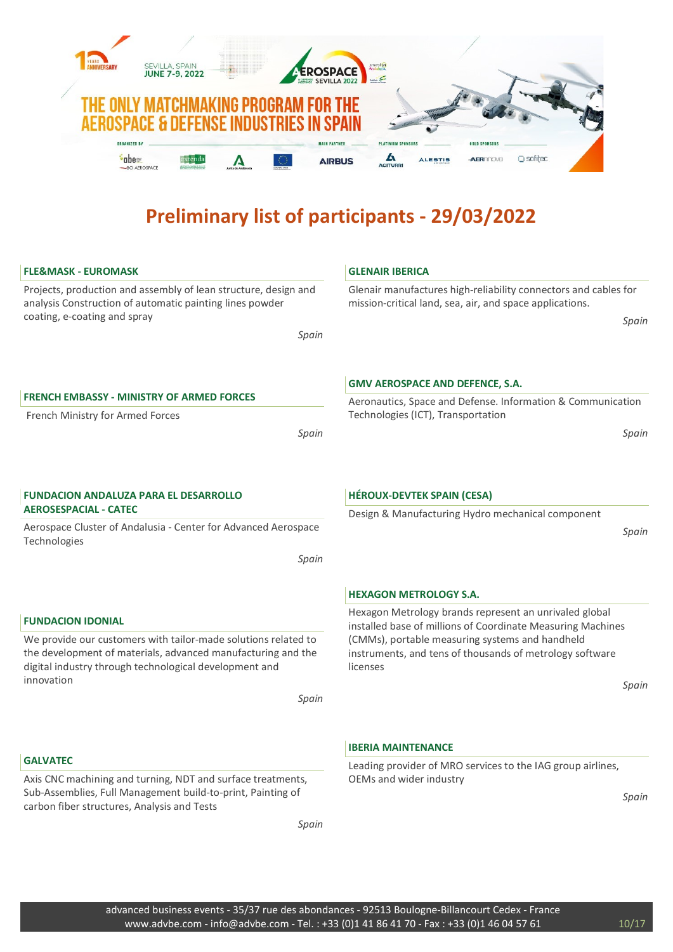

| <b>FLE&amp;MASK - EUROMASK</b>                                                                                                                                                                                                              | <b>GLENAIR IBERICA</b>                                                                                                                                                                                                                                    |
|---------------------------------------------------------------------------------------------------------------------------------------------------------------------------------------------------------------------------------------------|-----------------------------------------------------------------------------------------------------------------------------------------------------------------------------------------------------------------------------------------------------------|
| Projects, production and assembly of lean structure, design and<br>analysis Construction of automatic painting lines powder<br>coating, e-coating and spray<br>Spain                                                                        | Glenair manufactures high-reliability connectors and cables for<br>mission-critical land, sea, air, and space applications.<br>Spain                                                                                                                      |
| <b>FRENCH EMBASSY - MINISTRY OF ARMED FORCES</b><br>French Ministry for Armed Forces                                                                                                                                                        | <b>GMV AEROSPACE AND DEFENCE, S.A.</b><br>Aeronautics, Space and Defense. Information & Communication<br>Technologies (ICT), Transportation                                                                                                               |
| Spain                                                                                                                                                                                                                                       | Spain                                                                                                                                                                                                                                                     |
| <b>FUNDACION ANDALUZA PARA EL DESARROLLO</b><br><b>AEROSESPACIAL - CATEC</b>                                                                                                                                                                | <b>HÉROUX-DEVTEK SPAIN (CESA)</b>                                                                                                                                                                                                                         |
| Aerospace Cluster of Andalusia - Center for Advanced Aerospace<br>Technologies<br>Spain                                                                                                                                                     | Design & Manufacturing Hydro mechanical component<br>Spain                                                                                                                                                                                                |
|                                                                                                                                                                                                                                             | <b>HEXAGON METROLOGY S.A.</b>                                                                                                                                                                                                                             |
| <b>FUNDACION IDONIAL</b><br>We provide our customers with tailor-made solutions related to<br>the development of materials, advanced manufacturing and the<br>digital industry through technological development and<br>innovation<br>Spain | Hexagon Metrology brands represent an unrivaled global<br>installed base of millions of Coordinate Measuring Machines<br>(CMMs), portable measuring systems and handheld<br>instruments, and tens of thousands of metrology software<br>licenses<br>Spain |
|                                                                                                                                                                                                                                             | <b>IBERIA MAINTENANCE</b>                                                                                                                                                                                                                                 |
| <b>GALVATEC</b><br>Axis CNC machining and turning, NDT and surface treatments,<br>Sub-Assemblies, Full Management build-to-print, Painting of<br>carbon fiber structures, Analysis and Tests<br>Spain                                       | Leading provider of MRO services to the IAG group airlines,<br>OEMs and wider industry<br>Spain                                                                                                                                                           |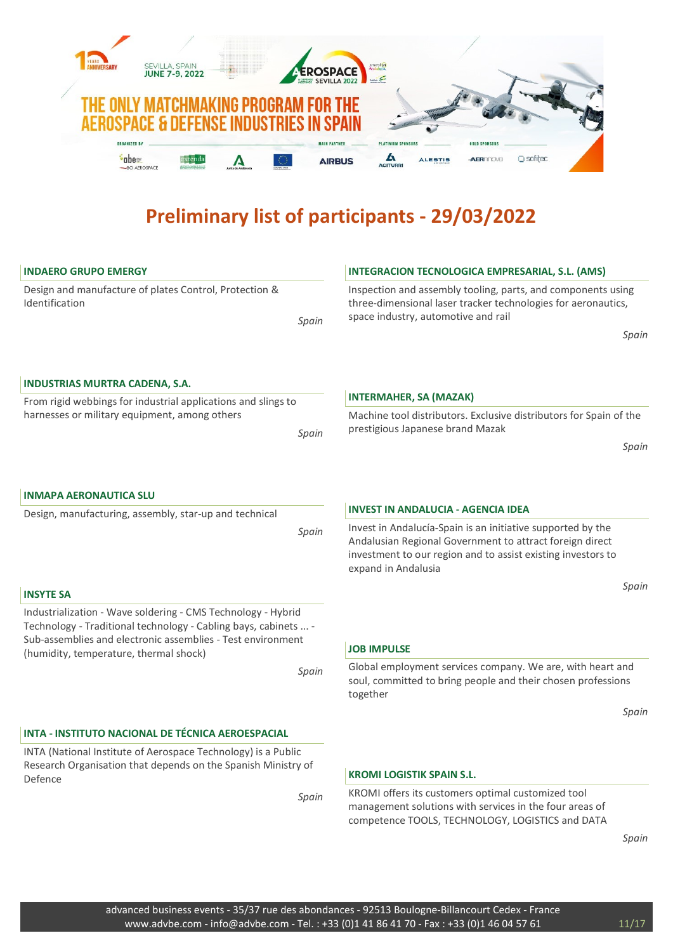

| <b>INDAERO GRUPO EMERGY</b>                                                                                                                                                                                                                       |       | <b>INTEGRACION TECNOLOGICA EMPRESARIAL, S.L. (AMS)</b>                                                                                                                                                         |
|---------------------------------------------------------------------------------------------------------------------------------------------------------------------------------------------------------------------------------------------------|-------|----------------------------------------------------------------------------------------------------------------------------------------------------------------------------------------------------------------|
| Design and manufacture of plates Control, Protection &<br>Identification                                                                                                                                                                          | Spain | Inspection and assembly tooling, parts, and components using<br>three-dimensional laser tracker technologies for aeronautics,<br>space industry, automotive and rail<br>Spain                                  |
|                                                                                                                                                                                                                                                   |       |                                                                                                                                                                                                                |
| <b>INDUSTRIAS MURTRA CADENA, S.A.</b>                                                                                                                                                                                                             |       |                                                                                                                                                                                                                |
| From rigid webbings for industrial applications and slings to                                                                                                                                                                                     |       | <b>INTERMAHER, SA (MAZAK)</b>                                                                                                                                                                                  |
| harnesses or military equipment, among others                                                                                                                                                                                                     | Spain | Machine tool distributors. Exclusive distributors for Spain of the<br>prestigious Japanese brand Mazak                                                                                                         |
|                                                                                                                                                                                                                                                   |       | Spain                                                                                                                                                                                                          |
| <b>INMAPA AERONAUTICA SLU</b>                                                                                                                                                                                                                     |       |                                                                                                                                                                                                                |
| Design, manufacturing, assembly, star-up and technical                                                                                                                                                                                            |       | <b>INVEST IN ANDALUCIA - AGENCIA IDEA</b>                                                                                                                                                                      |
|                                                                                                                                                                                                                                                   | Spain | Invest in Andalucía-Spain is an initiative supported by the<br>Andalusian Regional Government to attract foreign direct<br>investment to our region and to assist existing investors to<br>expand in Andalusia |
| <b>INSYTE SA</b>                                                                                                                                                                                                                                  |       | Spain                                                                                                                                                                                                          |
| Industrialization - Wave soldering - CMS Technology - Hybrid<br>Technology - Traditional technology - Cabling bays, cabinets  -<br>Sub-assemblies and electronic assemblies - Test environment<br>(humidity, temperature, thermal shock)<br>Spain |       | <b>JOB IMPULSE</b>                                                                                                                                                                                             |
|                                                                                                                                                                                                                                                   |       | Global employment services company. We are, with heart and<br>soul, committed to bring people and their chosen professions<br>together                                                                         |
|                                                                                                                                                                                                                                                   |       | Spain                                                                                                                                                                                                          |
| INTA - INSTITUTO NACIONAL DE TÉCNICA AEROESPACIAL                                                                                                                                                                                                 |       |                                                                                                                                                                                                                |
| INTA (National Institute of Aerospace Technology) is a Public<br>Research Organisation that depends on the Spanish Ministry of<br>Defence<br>Spain                                                                                                |       | <b>KROMI LOGISTIK SPAIN S.L.</b>                                                                                                                                                                               |
|                                                                                                                                                                                                                                                   |       | KROMI offers its customers optimal customized tool<br>management solutions with services in the four areas of<br>competence TOOLS, TECHNOLOGY, LOGISTICS and DATA                                              |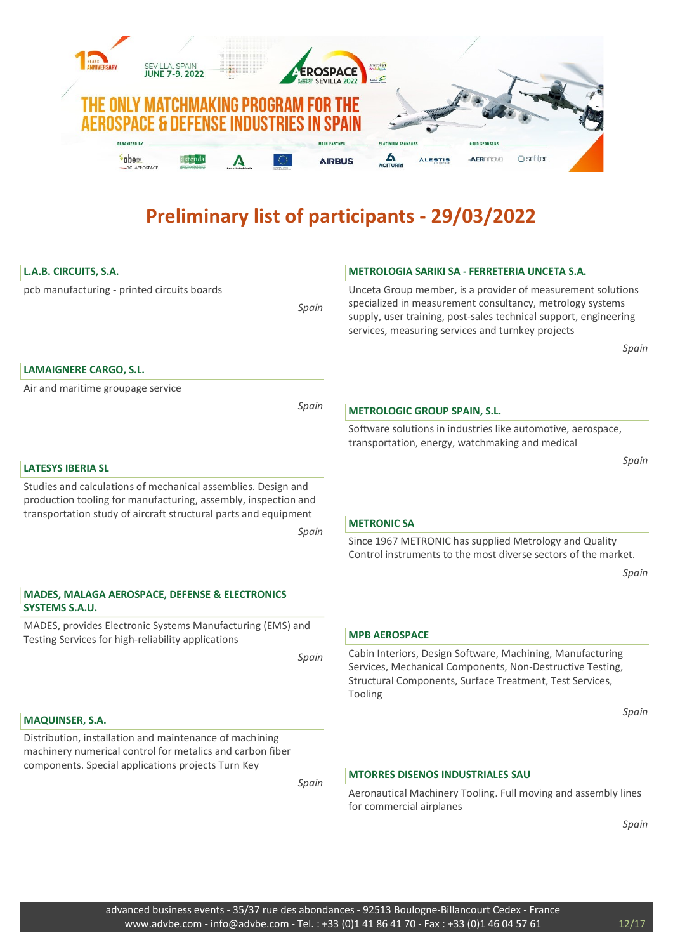

| L.A.B. CIRCUITS, S.A.                                                                                                                                                                              |       | METROLOGIA SARIKI SA - FERRETERIA UNCETA S.A.                                                                                                                                                                                                     |
|----------------------------------------------------------------------------------------------------------------------------------------------------------------------------------------------------|-------|---------------------------------------------------------------------------------------------------------------------------------------------------------------------------------------------------------------------------------------------------|
| pcb manufacturing - printed circuits boards                                                                                                                                                        | Spain | Unceta Group member, is a provider of measurement solutions<br>specialized in measurement consultancy, metrology systems<br>supply, user training, post-sales technical support, engineering<br>services, measuring services and turnkey projects |
|                                                                                                                                                                                                    |       | Spain                                                                                                                                                                                                                                             |
| <b>LAMAIGNERE CARGO, S.L.</b><br>Air and maritime groupage service                                                                                                                                 |       |                                                                                                                                                                                                                                                   |
|                                                                                                                                                                                                    | Spain |                                                                                                                                                                                                                                                   |
|                                                                                                                                                                                                    |       | <b>METROLOGIC GROUP SPAIN, S.L.</b>                                                                                                                                                                                                               |
|                                                                                                                                                                                                    |       | Software solutions in industries like automotive, aerospace,<br>transportation, energy, watchmaking and medical                                                                                                                                   |
| <b>LATESYS IBERIA SL</b>                                                                                                                                                                           |       | Spain                                                                                                                                                                                                                                             |
| Studies and calculations of mechanical assemblies. Design and<br>production tooling for manufacturing, assembly, inspection and<br>transportation study of aircraft structural parts and equipment |       | <b>METRONIC SA</b>                                                                                                                                                                                                                                |
|                                                                                                                                                                                                    | Spain | Since 1967 METRONIC has supplied Metrology and Quality<br>Control instruments to the most diverse sectors of the market.                                                                                                                          |
|                                                                                                                                                                                                    |       | Spain                                                                                                                                                                                                                                             |
| <b>MADES, MALAGA AEROSPACE, DEFENSE &amp; ELECTRONICS</b><br><b>SYSTEMS S.A.U.</b>                                                                                                                 |       |                                                                                                                                                                                                                                                   |
| MADES, provides Electronic Systems Manufacturing (EMS) and<br>Testing Services for high-reliability applications                                                                                   |       | <b>MPB AEROSPACE</b>                                                                                                                                                                                                                              |
|                                                                                                                                                                                                    | Spain | Cabin Interiors, Design Software, Machining, Manufacturing<br>Services, Mechanical Components, Non-Destructive Testing,<br>Structural Components, Surface Treatment, Test Services,<br>Tooling                                                    |
| <b>MAQUINSER, S.A.</b>                                                                                                                                                                             |       | Spain                                                                                                                                                                                                                                             |
| Distribution, installation and maintenance of machining<br>machinery numerical control for metalics and carbon fiber<br>components. Special applications projects Turn Key                         |       | <b>MTORRES DISENOS INDUSTRIALES SAU</b>                                                                                                                                                                                                           |
|                                                                                                                                                                                                    | Spain | Aeronautical Machinery Tooling. Full moving and assembly lines<br>for commercial airplanes                                                                                                                                                        |
|                                                                                                                                                                                                    |       | Spain                                                                                                                                                                                                                                             |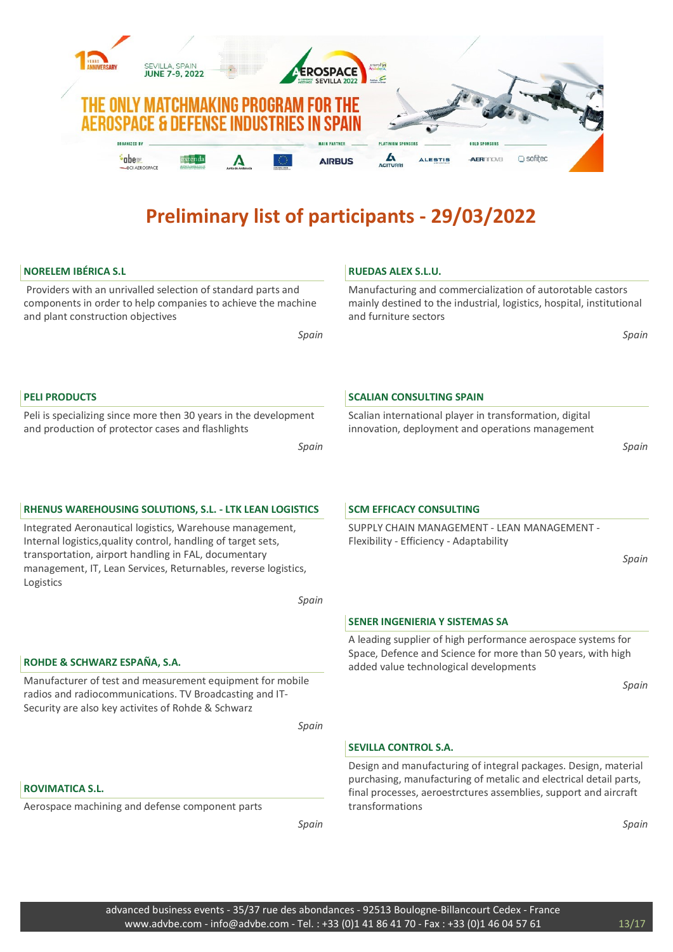

Peli is specializing since more then 30 years in the development and production of protector cases and flashlights

Spain

# RHENUS WAREHOUSING SOLUTIONS, S.L. - LTK LEAN LOGISTICS

Integrated Aeronautical logistics, Warehouse management, Internal logistics,quality control, handling of target sets, transportation, airport handling in FAL, documentary management, IT, Lean Services, Returnables, reverse logistics, Logistics

Spain

# ROHDE & SCHWARZ ESPAÑA, S.A.

Manufacturer of test and measurement equipment for mobile radios and radiocommunications. TV Broadcasting and IT-Security are also key activites of Rohde & Schwarz

Spain

# ROVIMATICA S.L.

Aerospace machining and defense component parts

Spain

Scalian international player in transformation, digital innovation, deployment and operations management

Spain

# SCM EFFICACY CONSULTING

SUPPLY CHAIN MANAGEMENT - LEAN MANAGEMENT - Flexibility - Efficiency - Adaptability

Spain

# SENER INGENIERIA Y SISTEMAS SA

A leading supplier of high performance aerospace systems for Space, Defence and Science for more than 50 years, with high added value technological developments

Spain

# SEVILLA CONTROL S.A.

Design and manufacturing of integral packages. Design, material purchasing, manufacturing of metalic and electrical detail parts, final processes, aeroestrctures assemblies, support and aircraft transformations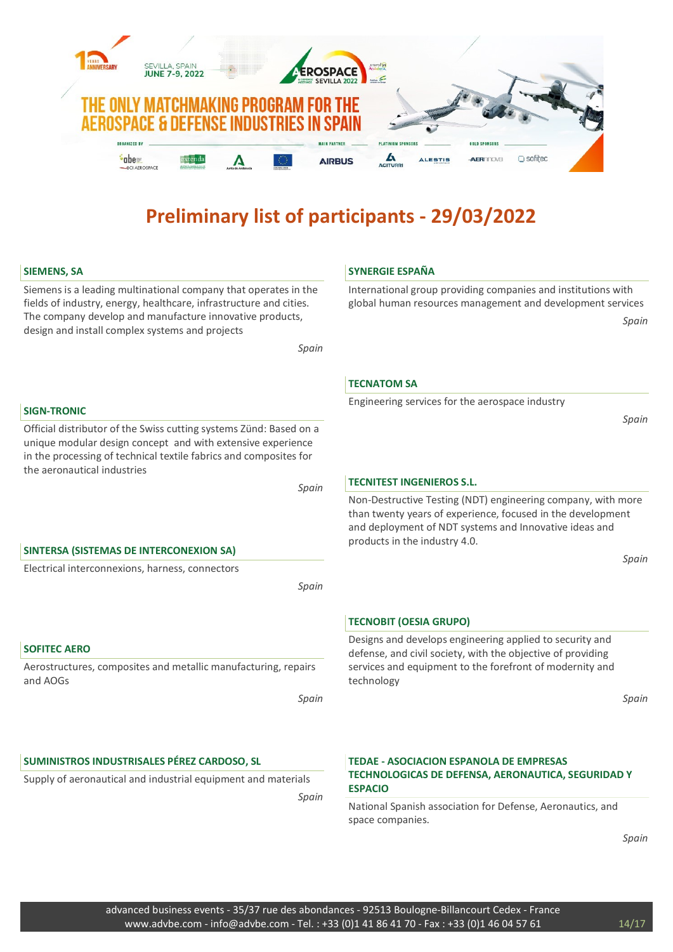

National Spanish association for Defense, Aeronautics, and space companies.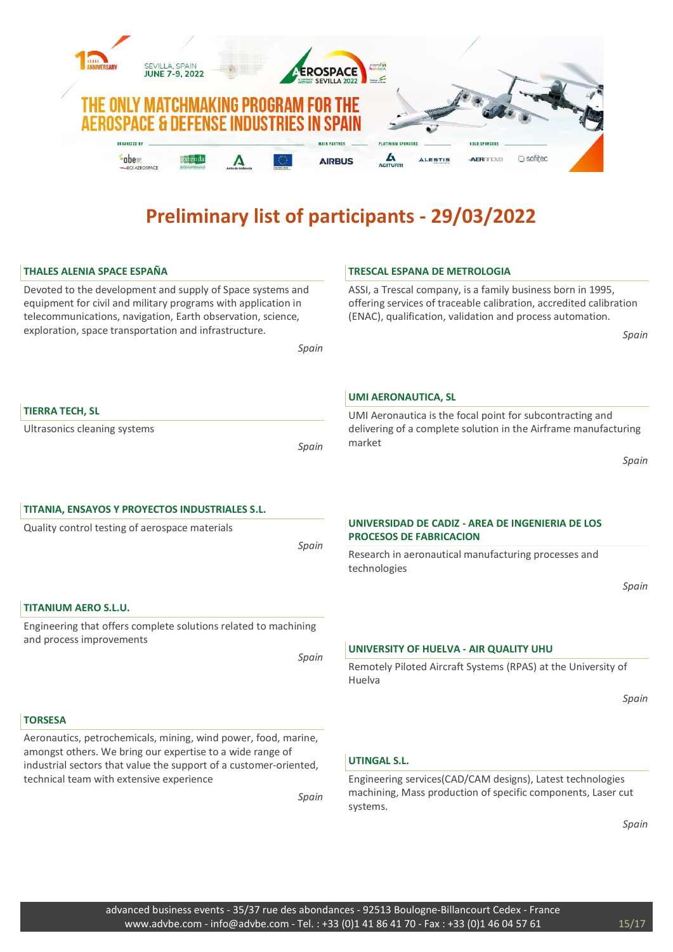

| <b>THALES ALENIA SPACE ESPAÑA</b>                                                                                                                                                                | <b>TRESCAL ESPANA DE METROLOGIA</b>                                                                                                                                                            |
|--------------------------------------------------------------------------------------------------------------------------------------------------------------------------------------------------|------------------------------------------------------------------------------------------------------------------------------------------------------------------------------------------------|
| Devoted to the development and supply of Space systems and<br>equipment for civil and military programs with application in<br>telecommunications, navigation, Earth observation, science,       | ASSI, a Trescal company, is a family business born in 1995,<br>offering services of traceable calibration, accredited calibration<br>(ENAC), qualification, validation and process automation. |
| exploration, space transportation and infrastructure.<br>Spain                                                                                                                                   | Spain                                                                                                                                                                                          |
|                                                                                                                                                                                                  | <b>UMI AERONAUTICA, SL</b>                                                                                                                                                                     |
| <b>TIERRA TECH, SL</b><br>Ultrasonics cleaning systems<br>Spain                                                                                                                                  | UMI Aeronautica is the focal point for subcontracting and<br>delivering of a complete solution in the Airframe manufacturing<br>market                                                         |
|                                                                                                                                                                                                  | Spain                                                                                                                                                                                          |
| TITANIA, ENSAYOS Y PROYECTOS INDUSTRIALES S.L.                                                                                                                                                   | UNIVERSIDAD DE CADIZ - AREA DE INGENIERIA DE LOS                                                                                                                                               |
| Quality control testing of aerospace materials<br>Spain                                                                                                                                          | <b>PROCESOS DE FABRICACION</b>                                                                                                                                                                 |
|                                                                                                                                                                                                  | Research in aeronautical manufacturing processes and<br>technologies<br>Spain                                                                                                                  |
| <b>TITANIUM AERO S.L.U.</b>                                                                                                                                                                      |                                                                                                                                                                                                |
| Engineering that offers complete solutions related to machining<br>and process improvements                                                                                                      |                                                                                                                                                                                                |
| Spain                                                                                                                                                                                            | UNIVERSITY OF HUELVA - AIR QUALITY UHU                                                                                                                                                         |
|                                                                                                                                                                                                  | Remotely Piloted Aircraft Systems (RPAS) at the University of<br>Huelva                                                                                                                        |
|                                                                                                                                                                                                  | Spain                                                                                                                                                                                          |
| <b>TORSESA</b>                                                                                                                                                                                   |                                                                                                                                                                                                |
| Aeronautics, petrochemicals, mining, wind power, food, marine,<br>amongst others. We bring our expertise to a wide range of<br>industrial sectors that value the support of a customer-oriented, | <b>UTINGAL S.L.</b>                                                                                                                                                                            |
| technical team with extensive experience<br>Spain                                                                                                                                                | Engineering services(CAD/CAM designs), Latest technologies<br>machining, Mass production of specific components, Laser cut<br>systems.                                                         |
|                                                                                                                                                                                                  | Spain                                                                                                                                                                                          |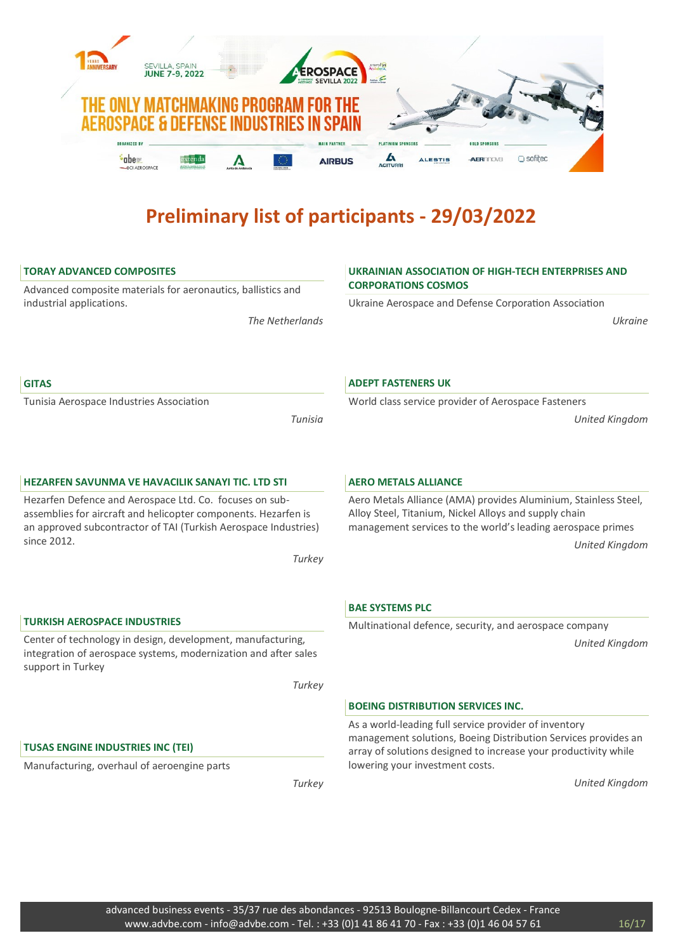

# TORAY ADVANCED COMPOSITES

Advanced composite materials for aeronautics, ballistics and industrial applications.

The Netherlands

# UKRAINIAN ASSOCIATION OF HIGH-TECH ENTERPRISES AND CORPORATIONS COSMOS

Ukraine Aerospace and Defense Corporation Association

World class service provider of Aerospace Fasteners

Ukraine

United Kingdom

#### **GITAS**

Tunisia Aerospace Industries Association

Tunisia

### HEZARFEN SAVUNMA VE HAVACILIK SANAYI TIC. LTD STI

Hezarfen Defence and Aerospace Ltd. Co. focuses on subassemblies for aircraft and helicopter components. Hezarfen is an approved subcontractor of TAI (Turkish Aerospace Industries) since 2012.

**Turkey** 

# TURKISH AEROSPACE INDUSTRIES

Center of technology in design, development, manufacturing, integration of aerospace systems, modernization and after sales support in Turkey

**Turkey** 

# TUSAS ENGINE INDUSTRIES INC (TEI)

Manufacturing, overhaul of aeroengine parts

**Turkey** 

#### AERO METALS ALLIANCE

ADEPT FASTENERS UK

Aero Metals Alliance (AMA) provides Aluminium, Stainless Steel, Alloy Steel, Titanium, Nickel Alloys and supply chain management services to the world's leading aerospace primes United Kingdom

# BAE SYSTEMS PLC

Multinational defence, security, and aerospace company

United Kingdom

#### BOEING DISTRIBUTION SERVICES INC.

As a world-leading full service provider of inventory management solutions, Boeing Distribution Services provides an array of solutions designed to increase your productivity while lowering your investment costs.

United Kingdom